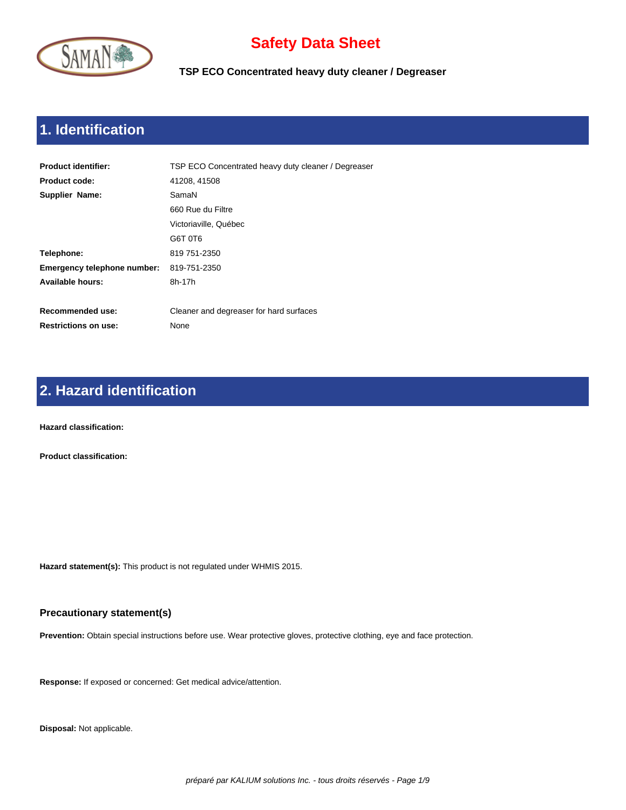

**TSP ECO Concentrated heavy duty cleaner / Degreaser**

# **1. Identification**

| <b>Product identifier:</b>         | TSP ECO Concentrated heavy duty cleaner / Degreaser |
|------------------------------------|-----------------------------------------------------|
| <b>Product code:</b>               | 41208, 41508                                        |
| Supplier Name:                     | SamaN                                               |
|                                    | 660 Rue du Filtre                                   |
|                                    | Victoriaville, Québec                               |
|                                    | G6T 0T6                                             |
| Telephone:                         | 819 751-2350                                        |
| <b>Emergency telephone number:</b> | 819-751-2350                                        |
| Available hours:                   | 8h-17h                                              |
|                                    |                                                     |
| Recommended use:                   | Cleaner and degreaser for hard surfaces             |
| <b>Restrictions on use:</b>        | None                                                |
|                                    |                                                     |

## **2. Hazard identification**

**Hazard classification:** 

**Product classification:** 

**Hazard statement(s):** This product is not regulated under WHMIS 2015.

#### **Precautionary statement(s)**

**Prevention:** Obtain special instructions before use. Wear protective gloves, protective clothing, eye and face protection.

**Response:** If exposed or concerned: Get medical advice/attention.

**Disposal:** Not applicable.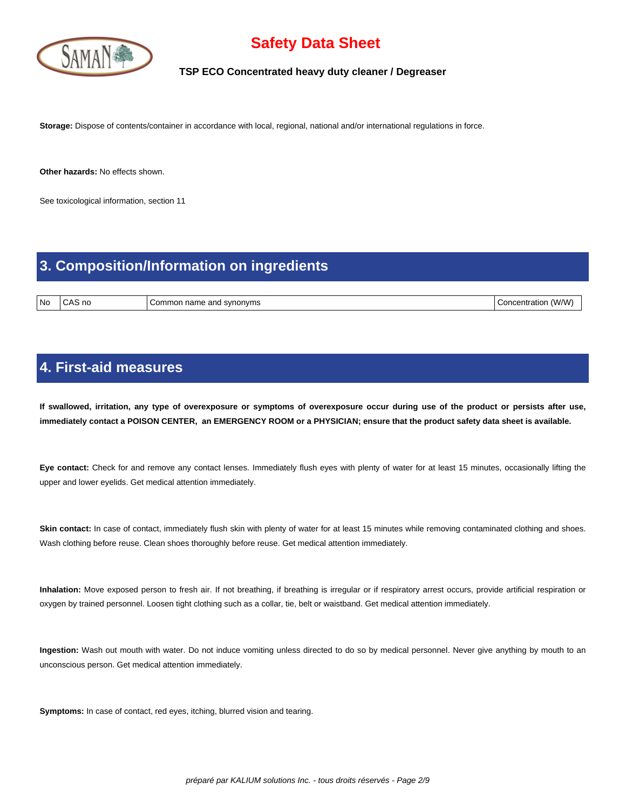

### **TSP ECO Concentrated heavy duty cleaner / Degreaser**

**Storage:** Dispose of contents/container in accordance with local, regional, national and/or international regulations in force.

**Other hazards:** No effects shown.

See toxicological information, section 11

### **3. Composition/Information on ingredients**

No CAS no Common name and synonyms Concentration (W/W)

### **4. First-aid measures**

 **If swallowed, irritation, any type of overexposure or symptoms of overexposure occur during use of the product or persists after use, immediately contact a POISON CENTER, an EMERGENCY ROOM or a PHYSICIAN; ensure that the product safety data sheet is available.**

**Eye contact:** Check for and remove any contact lenses. Immediately flush eyes with plenty of water for at least 15 minutes, occasionally lifting the upper and lower eyelids. Get medical attention immediately.

Skin contact: In case of contact, immediately flush skin with plenty of water for at least 15 minutes while removing contaminated clothing and shoes. Wash clothing before reuse. Clean shoes thoroughly before reuse. Get medical attention immediately.

**Inhalation:** Move exposed person to fresh air. If not breathing, if breathing is irregular or if respiratory arrest occurs, provide artificial respiration or oxygen by trained personnel. Loosen tight clothing such as a collar, tie, belt or waistband. Get medical attention immediately.

**Ingestion:** Wash out mouth with water. Do not induce vomiting unless directed to do so by medical personnel. Never give anything by mouth to an unconscious person. Get medical attention immediately.

**Symptoms:** In case of contact, red eyes, itching, blurred vision and tearing.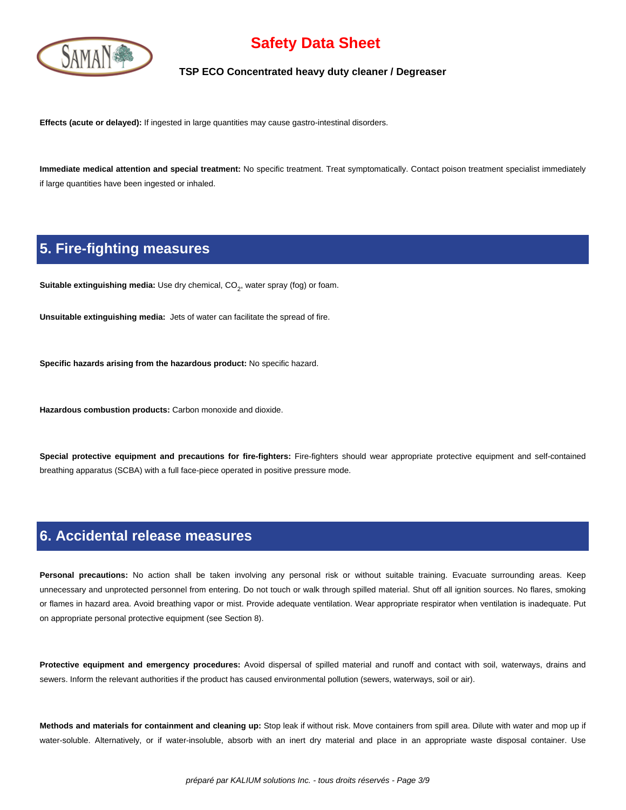

### **TSP ECO Concentrated heavy duty cleaner / Degreaser**

**Effects (acute or delayed):** If ingested in large quantities may cause gastro-intestinal disorders.

**Immediate medical attention and special treatment:** No specific treatment. Treat symptomatically. Contact poison treatment specialist immediately if large quantities have been ingested or inhaled.

### **5. Fire-fighting measures**

**Suitable extinguishing media:** Use dry chemical, CO<sub>2</sub>, water spray (fog) or foam.

**Unsuitable extinguishing media:** Jets of water can facilitate the spread of fire.

**Specific hazards arising from the hazardous product:** No specific hazard.

**Hazardous combustion products:** Carbon monoxide and dioxide.

**Special protective equipment and precautions for fire-fighters:** Fire-fighters should wear appropriate protective equipment and self-contained breathing apparatus (SCBA) with a full face-piece operated in positive pressure mode.

### **6. Accidental release measures**

Personal precautions: No action shall be taken involving any personal risk or without suitable training. Evacuate surrounding areas. Keep unnecessary and unprotected personnel from entering. Do not touch or walk through spilled material. Shut off all ignition sources. No flares, smoking or flames in hazard area. Avoid breathing vapor or mist. Provide adequate ventilation. Wear appropriate respirator when ventilation is inadequate. Put on appropriate personal protective equipment (see Section 8).

**Protective equipment and emergency procedures:** Avoid dispersal of spilled material and runoff and contact with soil, waterways, drains and sewers. Inform the relevant authorities if the product has caused environmental pollution (sewers, waterways, soil or air).

**Methods and materials for containment and cleaning up:** Stop leak if without risk. Move containers from spill area. Dilute with water and mop up if water-soluble. Alternatively, or if water-insoluble, absorb with an inert dry material and place in an appropriate waste disposal container. Use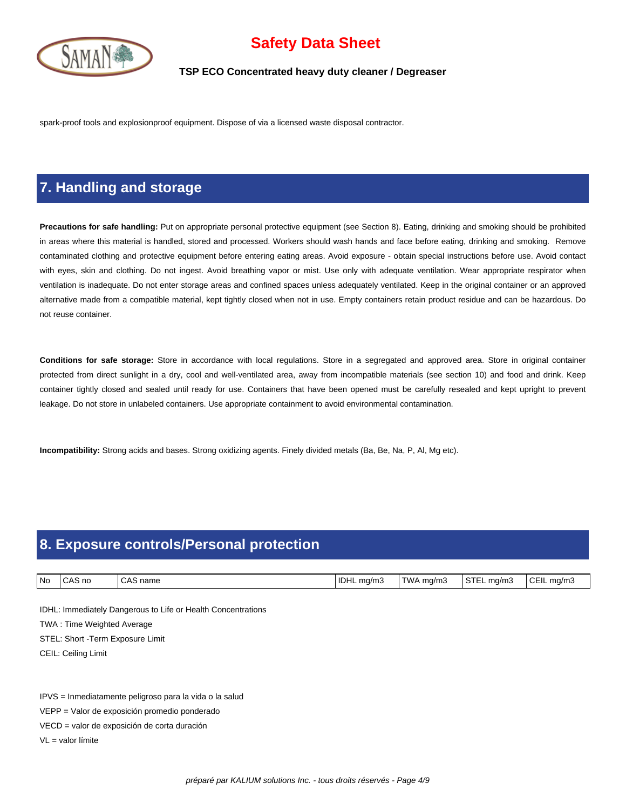

### **TSP ECO Concentrated heavy duty cleaner / Degreaser**

spark-proof tools and explosionproof equipment. Dispose of via a licensed waste disposal contractor.

### **7. Handling and storage**

**Precautions for safe handling:** Put on appropriate personal protective equipment (see Section 8). Eating, drinking and smoking should be prohibited in areas where this material is handled, stored and processed. Workers should wash hands and face before eating, drinking and smoking. Remove contaminated clothing and protective equipment before entering eating areas. Avoid exposure - obtain special instructions before use. Avoid contact with eyes, skin and clothing. Do not ingest. Avoid breathing vapor or mist. Use only with adequate ventilation. Wear appropriate respirator when ventilation is inadequate. Do not enter storage areas and confined spaces unless adequately ventilated. Keep in the original container or an approved alternative made from a compatible material, kept tightly closed when not in use. Empty containers retain product residue and can be hazardous. Do not reuse container.

**Conditions for safe storage:** Store in accordance with local regulations. Store in a segregated and approved area. Store in original container protected from direct sunlight in a dry, cool and well-ventilated area, away from incompatible materials (see section 10) and food and drink. Keep container tightly closed and sealed until ready for use. Containers that have been opened must be carefully resealed and kept upright to prevent leakage. Do not store in unlabeled containers. Use appropriate containment to avoid environmental contamination.

**Incompatibility:** Strong acids and bases. Strong oxidizing agents. Finely divided metals (Ba, Be, Na, P, Al, Mg etc).

# **8. Exposure controls/Personal protection**

| l No | AS no<br>$A^{\sim}$ | $\sim$<br>name<br>$\mathbf{A}$ | <sup>1</sup> IDHL<br>ma/m.<br>. . | TWA<br>ma/m. | $\sim$ Tr<br>ma/m.<br>5 I L | $\sim$ $ \cdot$<br>€C⊢II<br>ma/mാ |
|------|---------------------|--------------------------------|-----------------------------------|--------------|-----------------------------|-----------------------------------|

IDHL: Immediately Dangerous to Life or Health Concentrations

TWA : Time Weighted Average

STEL: Short -Term Exposure Limit

CEIL: Ceiling Limit

IPVS = Inmediatamente peligroso para la vida o la salud

VEPP = Valor de exposición promedio ponderado

VECD = valor de exposición de corta duración

VL = valor límite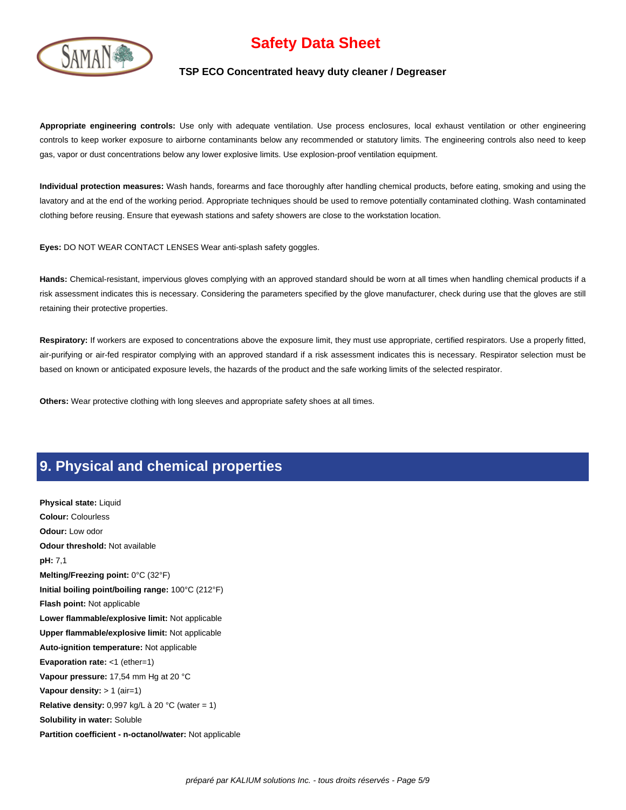

#### **TSP ECO Concentrated heavy duty cleaner / Degreaser**

**Appropriate engineering controls:** Use only with adequate ventilation. Use process enclosures, local exhaust ventilation or other engineering controls to keep worker exposure to airborne contaminants below any recommended or statutory limits. The engineering controls also need to keep gas, vapor or dust concentrations below any lower explosive limits. Use explosion-proof ventilation equipment.

**Individual protection measures:** Wash hands, forearms and face thoroughly after handling chemical products, before eating, smoking and using the lavatory and at the end of the working period. Appropriate techniques should be used to remove potentially contaminated clothing. Wash contaminated clothing before reusing. Ensure that eyewash stations and safety showers are close to the workstation location.

**Eyes:** DO NOT WEAR CONTACT LENSES Wear anti-splash safety goggles.

**Hands:** Chemical-resistant, impervious gloves complying with an approved standard should be worn at all times when handling chemical products if a risk assessment indicates this is necessary. Considering the parameters specified by the glove manufacturer, check during use that the gloves are still retaining their protective properties.

Respiratory: If workers are exposed to concentrations above the exposure limit, they must use appropriate, certified respirators. Use a properly fitted, air-purifying or air-fed respirator complying with an approved standard if a risk assessment indicates this is necessary. Respirator selection must be based on known or anticipated exposure levels, the hazards of the product and the safe working limits of the selected respirator.

**Others:** Wear protective clothing with long sleeves and appropriate safety shoes at all times.

### **9. Physical and chemical properties**

**Physical state:** Liquid **Colour:** Colourless **Odour:** Low odor **Odour threshold:** Not available **pH:** 7,1 **Melting/Freezing point:** 0°C (32°F) **Initial boiling point/boiling range:** 100°C (212°F) **Flash point:** Not applicable **Lower flammable/explosive limit:** Not applicable **Upper flammable/explosive limit:** Not applicable **Auto-ignition temperature:** Not applicable **Evaporation rate:** <1 (ether=1) **Vapour pressure:** 17,54 mm Hg at 20 °C **Vapour density:** > 1 (air=1) **Relative density:** 0,997 kg/L à 20 °C (water = 1) **Solubility in water:** Soluble **Partition coefficient - n-octanol/water:** Not applicable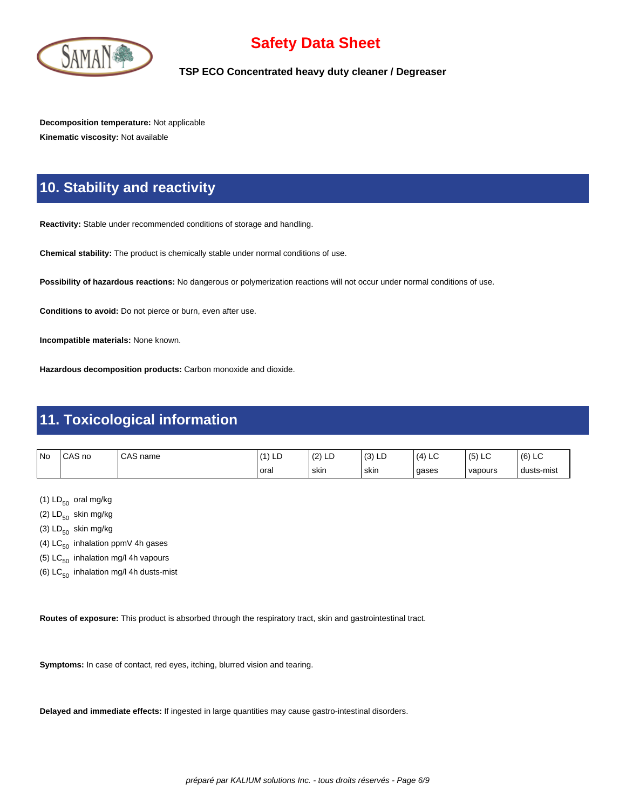

**TSP ECO Concentrated heavy duty cleaner / Degreaser**

**Decomposition temperature:** Not applicable **Kinematic viscosity:** Not available

## **10. Stability and reactivity**

**Reactivity:** Stable under recommended conditions of storage and handling.

**Chemical stability:** The product is chemically stable under normal conditions of use.

**Possibility of hazardous reactions:** No dangerous or polymerization reactions will not occur under normal conditions of use.

**Conditions to avoid:** Do not pierce or burn, even after use.

**Incompatible materials:** None known.

**Hazardous decomposition products:** Carbon monoxide and dioxide.

### **11. Toxicological information**

| <b>No</b> | CAS no | CAS<br>name | LD   | $\overline{\phantom{a}}$<br>$\sqrt{2}$<br>ᆸ<br>14 | (2)<br>131 LL | (4)<br>$\sim$<br>└ | $\sqrt{2}$<br>$\sim$<br>(5) LC | (6)<br>$\sim$<br>∟ບ |
|-----------|--------|-------------|------|---------------------------------------------------|---------------|--------------------|--------------------------------|---------------------|
|           |        |             | oral | ' skin                                            | ' skin        | gases              | vapours                        | dusts-mist          |

(1)  $LD_{50}$  oral mg/kg

(2)  $LD_{50}$  skin mg/kg

(3)  $LD_{50}$  skin mg/kg

- (4)  $LC_{50}$  inhalation ppmV 4h gases
- (5)  $LC_{50}$  inhalation mg/l 4h vapours
- (6)  $LC_{50}$  inhalation mg/l 4h dusts-mist

**Routes of exposure:** This product is absorbed through the respiratory tract, skin and gastrointestinal tract.

**Symptoms:** In case of contact, red eyes, itching, blurred vision and tearing.

**Delayed and immediate effects:** If ingested in large quantities may cause gastro-intestinal disorders.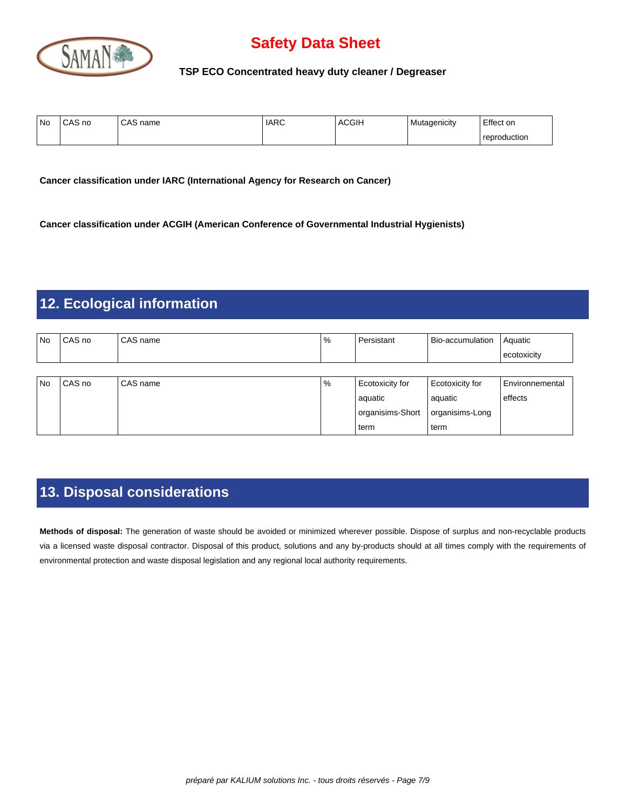

**TSP ECO Concentrated heavy duty cleaner / Degreaser**

| ' No | $\bigcap_{\alpha}$<br>CAS no | CAS<br>name | <b>IARC</b> | <b>ACGIH</b> | Mutagenicity | Effect on    |
|------|------------------------------|-------------|-------------|--------------|--------------|--------------|
|      |                              |             |             |              |              | reproduction |

**Cancer classification under IARC (International Agency for Research on Cancer)**

**Cancer classification under ACGIH (American Conference of Governmental Industrial Hygienists)**

### **12. Ecological information**

| l No | CAS no   | CAS name   | % | Persistant       | Bio-accumulation | Aquatic                |
|------|----------|------------|---|------------------|------------------|------------------------|
|      |          |            |   |                  |                  | ecotoxicity            |
|      |          |            |   |                  |                  |                        |
| l No | l CAS no | l CAS name | % | Ecotoxicity for  | Ecotoxicity for  | <b>Environnemental</b> |
|      |          |            |   | aquatic          | l aquatic        | effects                |
|      |          |            |   | organisims-Short | organisims-Long  |                        |
|      |          |            |   | term             | l term           |                        |

# **13. Disposal considerations**

**Methods of disposal:** The generation of waste should be avoided or minimized wherever possible. Dispose of surplus and non-recyclable products via a licensed waste disposal contractor. Disposal of this product, solutions and any by-products should at all times comply with the requirements of environmental protection and waste disposal legislation and any regional local authority requirements.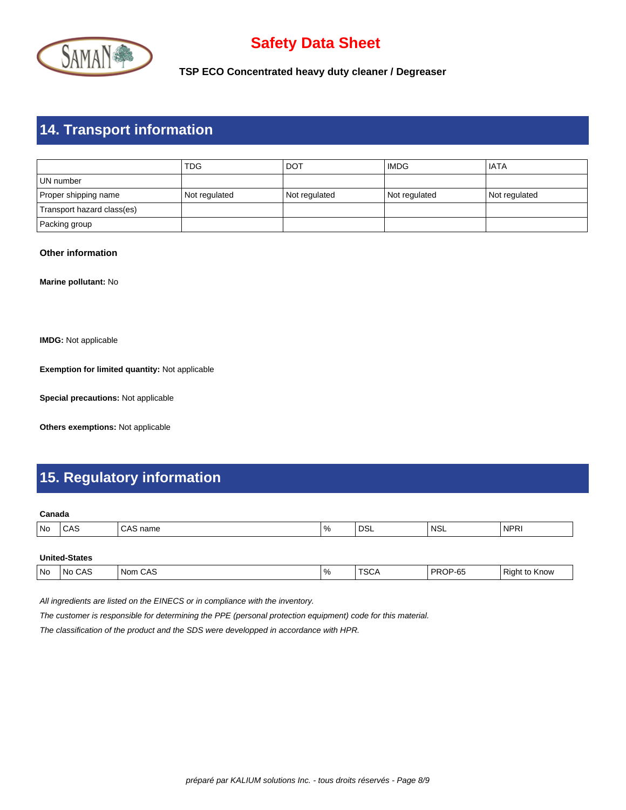

**TSP ECO Concentrated heavy duty cleaner / Degreaser**

## **14. Transport information**

|                            | TDG           | i dot         | <b>IMDG</b>   | l IATA        |
|----------------------------|---------------|---------------|---------------|---------------|
| l UN number                |               |               |               |               |
| Proper shipping name       | Not regulated | Not regulated | Not regulated | Not regulated |
| Transport hazard class(es) |               |               |               |               |
| Packing group              |               |               |               |               |

#### **Other information**

**Marine pollutant:** No

**IMDG:** Not applicable

**Exemption for limited quantity:** Not applicable

**Special precautions:** Not applicable

**Others exemptions:** Not applicable

## **15. Regulatory information**

#### **Canada**

|  | No | しハご<br>__ | iallit<br>. | $\%$ | no.<br>∟סט ∙<br>____ | 'NSL | 'NPRI |
|--|----|-----------|-------------|------|----------------------|------|-------|
|--|----|-----------|-------------|------|----------------------|------|-------|

| <b>United-States</b> |
|----------------------|
|----------------------|

|  | No | CAS<br>No. | CAS<br>Nom<br>$ -$ | $^{\circ}$ $^{\circ}$<br>$\overline{\phantom{a}}$ | $T^{\wedge}$<br>จ⊍ศ<br>$ -$ | PROP-65<br>. . | $\overline{\phantom{0}}$<br>Right<br><b>NUV</b><br>. . |
|--|----|------------|--------------------|---------------------------------------------------|-----------------------------|----------------|--------------------------------------------------------|
|--|----|------------|--------------------|---------------------------------------------------|-----------------------------|----------------|--------------------------------------------------------|

All ingredients are listed on the EINECS or in compliance with the inventory.

The customer is responsible for determining the PPE (personal protection equipment) code for this material.

The classification of the product and the SDS were developped in accordance with HPR.